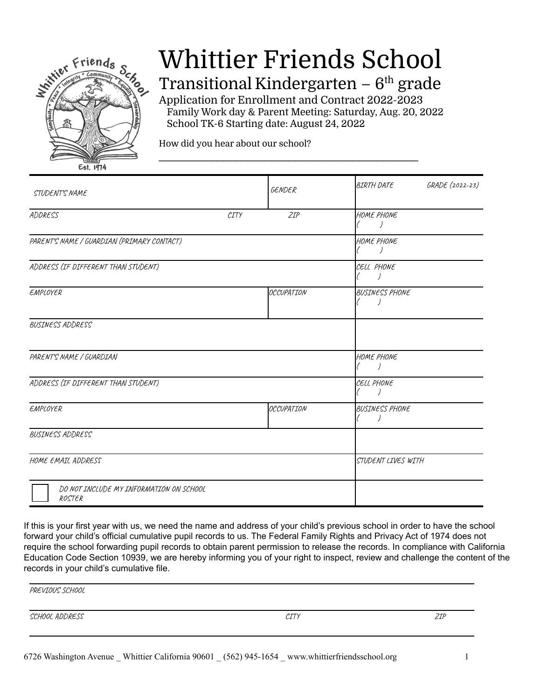

# Whittier Friends School

Transitional Kindergarten –  $6<sup>th</sup>$  grade

Application for Enrollment and Contract 2022-2023 Family Work day & Parent Meeting: Saturday, Aug. 20, 2022 School TK-6 Starting date: August 24, 2022

\_\_\_\_\_\_\_\_\_\_\_\_\_\_\_\_\_\_\_\_\_\_\_\_\_\_\_\_\_\_\_\_\_\_\_\_\_\_\_\_\_\_\_\_

How did you hear about our school?

| STUDENT'S NAME                                    |                                                   | GENDER            | <b>GRADE</b> (2022-23)<br>BIRTH DATE |
|---------------------------------------------------|---------------------------------------------------|-------------------|--------------------------------------|
| ADDRESS                                           | $\mathcal{C} \mathcal{I} \mathcal{T} \mathcal{Y}$ | ZIP               | HOME PHONE                           |
| PARENT'S NAME / GUARDIAN (PRIMARY CONTACT)        |                                                   |                   | HOME PHONE                           |
| ADDRESS (IF DIFFERENT THAN STUDENT)               |                                                   |                   | CELL PHONE                           |
| EMPLOYER                                          |                                                   | <b>OCCUPATION</b> | <b>BUSINESS PHONE</b>                |
| <b>BUSINESS ADDRESS</b>                           |                                                   |                   |                                      |
| PARENT'S NAME / GUARDIAN                          |                                                   |                   | HOME PHONE                           |
| ADDRESS (IF DIFFERENT THAN STUDENT)               |                                                   |                   | CELL PHONE                           |
| EMPLOYER                                          |                                                   | OCCUPATION        | <b>BUSINESS PHONE</b>                |
| BUSINESS ADDRESS                                  |                                                   |                   |                                      |
| HOME EMAIL ADDRESS                                |                                                   |                   | STUDENT LIVES WITH                   |
| DO NOT INCLUDE MY INFORMATION ON SCHOOL<br>ROSTER |                                                   |                   |                                      |

If this is your first year with us, we need the name and address of your child's previous school in order to have the school forward your child's official cumulative pupil records to us. The Federal Family Rights and Privacy Act of 1974 does not require the school forwarding pupil records to obtain parent permission to release the records. In compliance with California Education Code Section 10939, we are hereby informing you of your right to inspect, review and challenge the content of the records in your child's cumulative file.

PREVIOUS SCHOOL

SCHOOL ADDRESS ZIP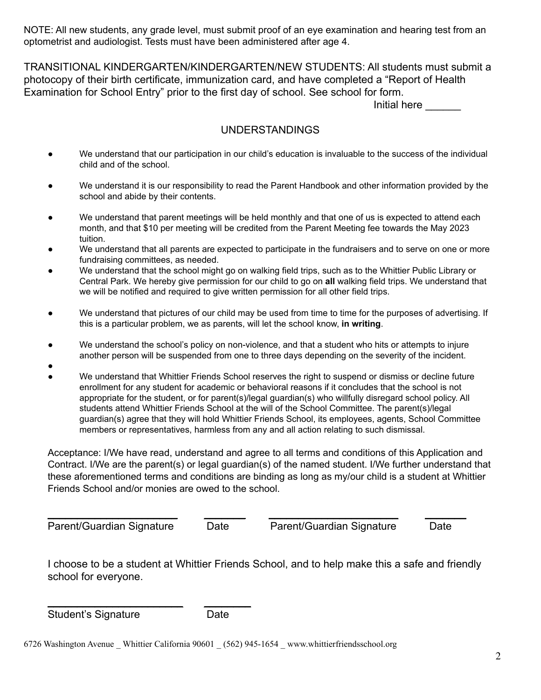NOTE: All new students, any grade level, must submit proof of an eye examination and hearing test from an optometrist and audiologist. Tests must have been administered after age 4.

TRANSITIONAL KINDERGARTEN/KINDERGARTEN/NEW STUDENTS: All students must submit a photocopy of their birth certificate, immunization card, and have completed a "Report of Health Examination for School Entry" prior to the first day of school. See school for form.

Initial here

# UNDERSTANDINGS

- We understand that our participation in our child's education is invaluable to the success of the individual child and of the school.
- We understand it is our responsibility to read the Parent Handbook and other information provided by the school and abide by their contents.
- We understand that parent meetings will be held monthly and that one of us is expected to attend each month, and that \$10 per meeting will be credited from the Parent Meeting fee towards the May 2023 tuition.
- We understand that all parents are expected to participate in the fundraisers and to serve on one or more fundraising committees, as needed.
- We understand that the school might go on walking field trips, such as to the Whittier Public Library or Central Park. We hereby give permission for our child to go on **all** walking field trips. We understand that we will be notified and required to give written permission for all other field trips.
- We understand that pictures of our child may be used from time to time for the purposes of advertising. If this is a particular problem, we as parents, will let the school know, **in writing**.
- We understand the school's policy on non-violence, and that a student who hits or attempts to injure another person will be suspended from one to three days depending on the severity of the incident.
- ●
- We understand that Whittier Friends School reserves the right to suspend or dismiss or decline future enrollment for any student for academic or behavioral reasons if it concludes that the school is not appropriate for the student, or for parent(s)/legal guardian(s) who willfully disregard school policy. All students attend Whittier Friends School at the will of the School Committee. The parent(s)/legal guardian(s) agree that they will hold Whittier Friends School, its employees, agents, School Committee members or representatives, harmless from any and all action relating to such dismissal.

Acceptance: I/We have read, understand and agree to all terms and conditions of this Application and Contract. I/We are the parent(s) or legal guardian(s) of the named student. I/We further understand that these aforementioned terms and conditions are binding as long as my/our child is a student at Whittier Friends School and/or monies are owed to the school.

\_\_\_\_\_\_\_\_\_\_\_\_\_\_\_\_\_\_\_\_\_\_ \_\_\_\_\_\_\_ \_\_\_\_\_\_\_\_\_\_\_\_\_\_\_\_\_\_\_\_\_\_ \_\_\_\_\_\_\_ Parent/Guardian Signature Date Parent/Guardian Signature Date

I choose to be a student at Whittier Friends School, and to help make this a safe and friendly school for everyone.

\_\_\_\_\_\_\_\_\_\_\_\_\_\_\_\_\_\_\_\_\_\_\_ \_\_\_\_\_\_\_\_ Student's Signature Date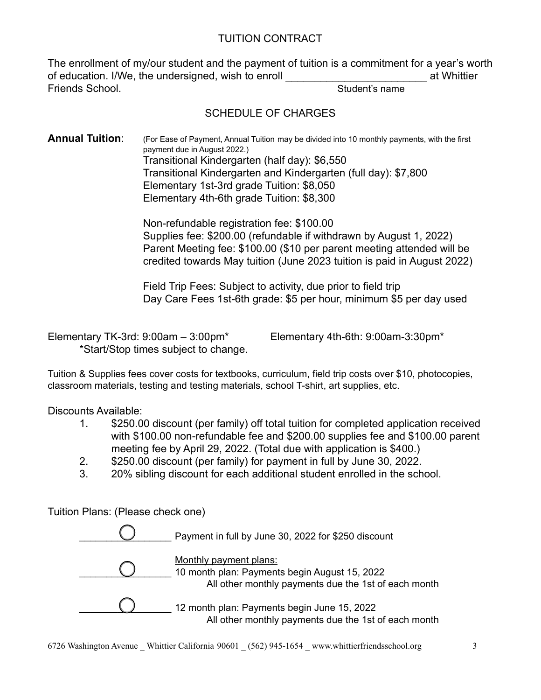## TUITION CONTRACT

The enrollment of my/our student and the payment of tuition is a commitment for a year's worth of education. I/We, the undersigned, wish to enroll entity at Whittier **Friends School.** Student's name is not student and student's name is not student in the student's name is not student in the student of the student of the student of the student of the student of the student of the studen

# SCHEDULE OF CHARGES

**Annual Tuition:** (For Ease of Payment, Annual Tuition may be divided into 10 monthly payments, with the first payment due in August 2022.) Transitional Kindergarten (half day): \$6,550 Transitional Kindergarten and Kindergarten (full day): \$7,800 Elementary 1st-3rd grade Tuition: \$8,050 Elementary 4th-6th grade Tuition: \$8,300

> Non-refundable registration fee: \$100.00 Supplies fee: \$200.00 (refundable if withdrawn by August 1, 2022) Parent Meeting fee: \$100.00 (\$10 per parent meeting attended will be credited towards May tuition (June 2023 tuition is paid in August 2022)

Field Trip Fees: Subject to activity, due prior to field trip Day Care Fees 1st-6th grade: \$5 per hour, minimum \$5 per day used

Elementary TK-3rd: 9:00am – 3:00pm\* Elementary 4th-6th: 9:00am-3:30pm\* \*Start/Stop times subject to change.

Tuition & Supplies fees cover costs for textbooks, curriculum, field trip costs over \$10, photocopies, classroom materials, testing and testing materials, school T-shirt, art supplies, etc.

Discounts Available:

- 1. \$250.00 discount (per family) off total tuition for completed application received with \$100.00 non-refundable fee and \$200.00 supplies fee and \$100.00 parent meeting fee by April 29, 2022. (Total due with application is \$400.)
- 2. \$250.00 discount (per family) for payment in full by June 30, 2022.
- 3. 20% sibling discount for each additional student enrolled in the school.

Tuition Plans: (Please check one)

| Payment in full by June 30, 2022 for \$250 discount                                                                             |
|---------------------------------------------------------------------------------------------------------------------------------|
| Monthly payment plans:<br>10 month plan: Payments begin August 15, 2022<br>All other monthly payments due the 1st of each month |
| 12 month plan: Payments begin June 15, 2022<br>All other monthly payments due the 1st of each month                             |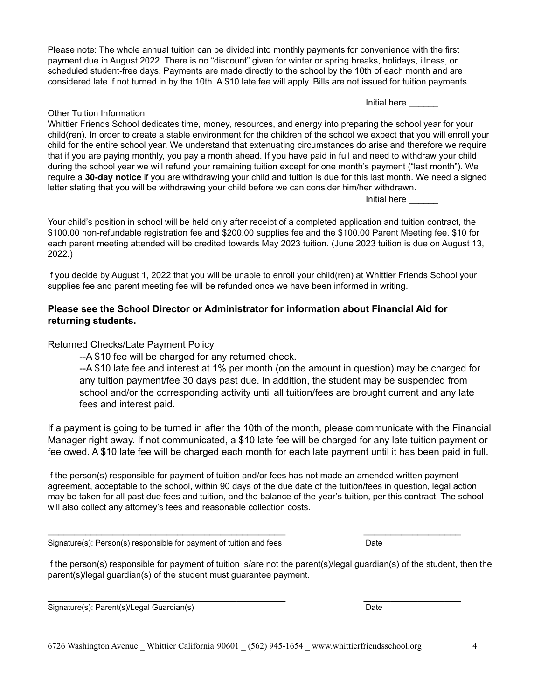6726 Washington Avenue Whittier California 90601 (562) 945-1654 www.whittierfriendsschool.org 4

Please note: The whole annual tuition can be divided into monthly payments for convenience with the first payment due in August 2022. There is no "discount" given for winter or spring breaks, holidays, illness, or scheduled student-free days. Payments are made directly to the school by the 10th of each month and are considered late if not turned in by the 10th. A \$10 late fee will apply. Bills are not issued for tuition payments.

Initial here

#### Other Tuition Information

Whittier Friends School dedicates time, money, resources, and energy into preparing the school year for your child(ren). In order to create a stable environment for the children of the school we expect that you will enroll your child for the entire school year. We understand that extenuating circumstances do arise and therefore we require that if you are paying monthly, you pay a month ahead. If you have paid in full and need to withdraw your child during the school year we will refund your remaining tuition except for one month's payment ("last month"). We require a **30-day notice** if you are withdrawing your child and tuition is due for this last month. We need a signed letter stating that you will be withdrawing your child before we can consider him/her withdrawn.

Initial here

Your child's position in school will be held only after receipt of a completed application and tuition contract, the \$100.00 non-refundable registration fee and \$200.00 supplies fee and the \$100.00 Parent Meeting fee. \$10 for each parent meeting attended will be credited towards May 2023 tuition. (June 2023 tuition is due on August 13, 2022.)

If you decide by August 1, 2022 that you will be unable to enroll your child(ren) at Whittier Friends School your supplies fee and parent meeting fee will be refunded once we have been informed in writing.

#### **Please see the School Director or Administrator for information about Financial Aid for returning students.**

#### Returned Checks/Late Payment Policy

--A \$10 fee will be charged for any returned check.

--A \$10 late fee and interest at 1% per month (on the amount in question) may be charged for any tuition payment/fee 30 days past due. In addition, the student may be suspended from school and/or the corresponding activity until all tuition/fees are brought current and any late fees and interest paid.

If a payment is going to be turned in after the 10th of the month, please communicate with the Financial Manager right away. If not communicated, a \$10 late fee will be charged for any late tuition payment or fee owed. A \$10 late fee will be charged each month for each late payment until it has been paid in full.

If the person(s) responsible for payment of tuition and/or fees has not made an amended written payment agreement, acceptable to the school, within 90 days of the due date of the tuition/fees in question, legal action may be taken for all past due fees and tuition, and the balance of the year's tuition, per this contract. The school will also collect any attorney's fees and reasonable collection costs.

\_\_\_\_\_\_\_\_\_\_\_\_\_\_\_\_\_\_\_\_\_\_\_\_\_\_\_\_\_\_\_\_\_\_\_\_\_\_\_\_\_\_\_\_ \_\_\_\_\_\_\_\_\_\_\_\_\_\_\_\_\_\_

\_\_\_\_\_\_\_\_\_\_\_\_\_\_\_\_\_\_\_\_\_\_\_\_\_\_\_\_\_\_\_\_\_\_\_\_\_\_\_\_\_\_\_\_ \_\_\_\_\_\_\_\_\_\_\_\_\_\_\_\_\_\_

Signature(s): Person(s) responsible for payment of tuition and fees Date

If the person(s) responsible for payment of tuition is/are not the parent(s)/legal guardian(s) of the student, then the parent(s)/legal guardian(s) of the student must guarantee payment.

Signature(s): Parent(s)/Legal Guardian(s) Date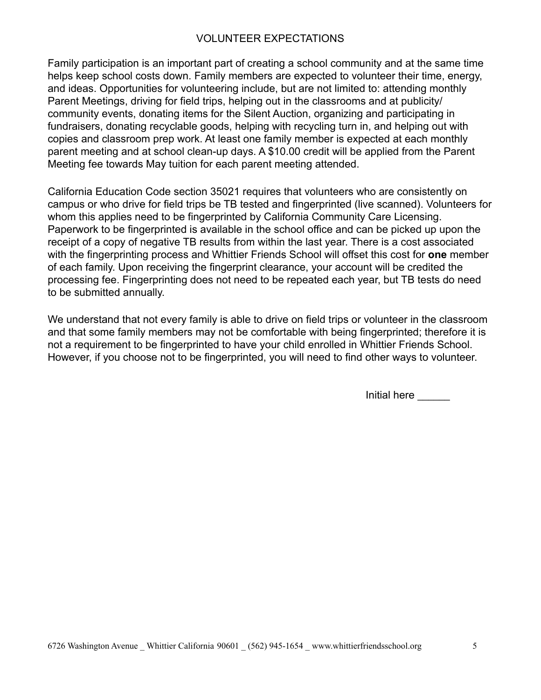## VOLUNTEER EXPECTATIONS

Family participation is an important part of creating a school community and at the same time helps keep school costs down. Family members are expected to volunteer their time, energy, and ideas. Opportunities for volunteering include, but are not limited to: attending monthly Parent Meetings, driving for field trips, helping out in the classrooms and at publicity/ community events, donating items for the Silent Auction, organizing and participating in fundraisers, donating recyclable goods, helping with recycling turn in, and helping out with copies and classroom prep work. At least one family member is expected at each monthly parent meeting and at school clean-up days. A \$10.00 credit will be applied from the Parent Meeting fee towards May tuition for each parent meeting attended.

California Education Code section 35021 requires that volunteers who are consistently on campus or who drive for field trips be TB tested and fingerprinted (live scanned). Volunteers for whom this applies need to be fingerprinted by California Community Care Licensing. Paperwork to be fingerprinted is available in the school office and can be picked up upon the receipt of a copy of negative TB results from within the last year. There is a cost associated with the fingerprinting process and Whittier Friends School will offset this cost for **one** member of each family. Upon receiving the fingerprint clearance, your account will be credited the processing fee. Fingerprinting does not need to be repeated each year, but TB tests do need to be submitted annually.

We understand that not every family is able to drive on field trips or volunteer in the classroom and that some family members may not be comfortable with being fingerprinted; therefore it is not a requirement to be fingerprinted to have your child enrolled in Whittier Friends School. However, if you choose not to be fingerprinted, you will need to find other ways to volunteer.

Initial here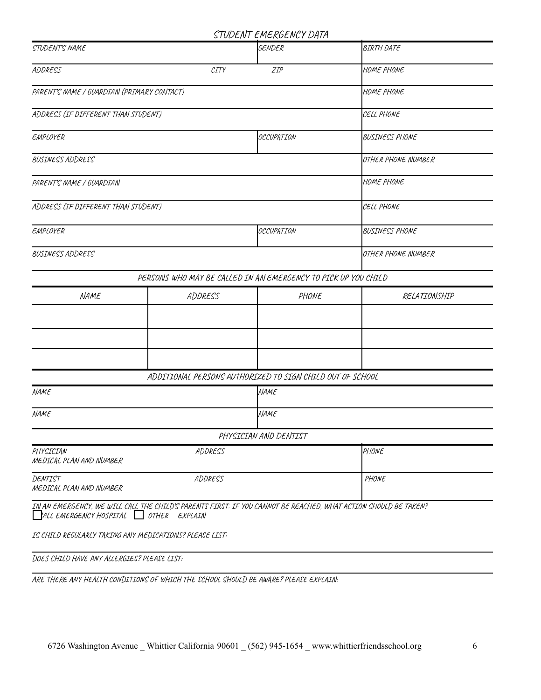#### CTUDENT EMERGENCY DATA

|                                                                                                                                                             |                    | SIUVLIVI LMCNULIVLI VAIN                                       |                       |  |
|-------------------------------------------------------------------------------------------------------------------------------------------------------------|--------------------|----------------------------------------------------------------|-----------------------|--|
| STUDENT'S NAME                                                                                                                                              |                    | GENDER                                                         | <b>BIRTH DATE</b>     |  |
| ADDRESS                                                                                                                                                     | CITY               | ZIP                                                            | HOME PHONE            |  |
| PARENT'S NAME / GUARDIAN (PRIMARY CONTACT)                                                                                                                  | HOME PHONE         |                                                                |                       |  |
| ADDRESS (IF DIFFERENT THAN STUDENT)                                                                                                                         | CELL PHONE         |                                                                |                       |  |
| EMPLOYER                                                                                                                                                    |                    | <b>OCCUPATION</b>                                              | BUSINESS PHONE        |  |
| <b>BUSINESS ADDRESS</b>                                                                                                                                     | OTHER PHONE NUMBER |                                                                |                       |  |
| PARENT'S NAME / GUARDIAN                                                                                                                                    | HOME PHONE         |                                                                |                       |  |
| ADDRESS (IF DIFFERENT THAN STUDENT)                                                                                                                         | CELL PHONE         |                                                                |                       |  |
| EMPLOYER                                                                                                                                                    |                    | <b>OCCUPATION</b>                                              | <b>BUSINESS PHONE</b> |  |
| BUSINESS ADDRESS                                                                                                                                            | OTHER PHONE NUMBER |                                                                |                       |  |
|                                                                                                                                                             |                    | PERSONS WHO MAY BE CALLED IN AN EMERGENCY TO PICK UP YOU CHILD |                       |  |
| NAME                                                                                                                                                        | ADDRESS            | PHONE                                                          | RELATIONSHIP          |  |
|                                                                                                                                                             |                    |                                                                |                       |  |
|                                                                                                                                                             |                    |                                                                |                       |  |
|                                                                                                                                                             |                    |                                                                |                       |  |
|                                                                                                                                                             |                    | ADDITIONAL PERSONS AUTHORIZED TO SIGN CHILD OUT OF SCHOOL      |                       |  |
| <b>NAME</b>                                                                                                                                                 |                    | NAME                                                           |                       |  |
| <b>NAME</b>                                                                                                                                                 |                    | NAME                                                           |                       |  |
|                                                                                                                                                             |                    | PHYSICIAN AND DENTIST                                          |                       |  |
| PHYSICIAN<br>ADDRESS<br>MEDICAL PLAN AND NUMBER                                                                                                             |                    |                                                                | PHONE                 |  |
| DENTIST<br>ADDRESS<br>MEDICAL PLAN AND NUMBER                                                                                                               |                    |                                                                | PHONE                 |  |
| IN AN EMERGENCY, WE WILL CALL THE CHILD'S PARENTS FIRST. IF YOU CANNOT BE REACHED, WHAT ACTION SHOULD BE TAKEN?<br>$ALL$ EMERGENCY HOSPITAL $OTHER$ EXPLAIN |                    |                                                                |                       |  |
| IS CHILD REGULARLY TAKING ANY MEDICATIONS? PLEASE LIST:                                                                                                     |                    |                                                                |                       |  |
| DOES CHILD HAVE ANY ALLERGIES? PLEASE LIST:                                                                                                                 |                    |                                                                |                       |  |

ARE THERE ANY HEALTH CONDITIONS OF WHICH THE SCHOOL SHOULD BE AWARE? PLEASE EXPLAIN: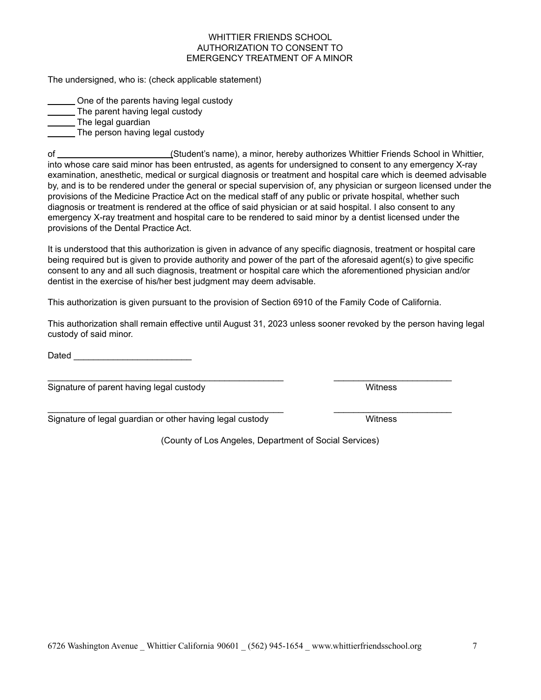#### WHITTIER FRIENDS SCHOOL AUTHORIZATION TO CONSENT TO EMERGENCY TREATMENT OF A MINOR

The undersigned, who is: (check applicable statement)

One of the parents having legal custody

The parent having legal custody

**The legal guardian** 

**The person having legal custody** 

of (Student's name), a minor, hereby authorizes Whittier Friends School in Whittier, into whose care said minor has been entrusted, as agents for undersigned to consent to any emergency X-ray examination, anesthetic, medical or surgical diagnosis or treatment and hospital care which is deemed advisable by, and is to be rendered under the general or special supervision of, any physician or surgeon licensed under the provisions of the Medicine Practice Act on the medical staff of any public or private hospital, whether such diagnosis or treatment is rendered at the office of said physician or at said hospital. I also consent to any emergency X-ray treatment and hospital care to be rendered to said minor by a dentist licensed under the provisions of the Dental Practice Act.

It is understood that this authorization is given in advance of any specific diagnosis, treatment or hospital care being required but is given to provide authority and power of the part of the aforesaid agent(s) to give specific consent to any and all such diagnosis, treatment or hospital care which the aforementioned physician and/or dentist in the exercise of his/her best judgment may deem advisable.

This authorization is given pursuant to the provision of Section 6910 of the Family Code of California.

 $\_$  , and the set of the set of the set of the set of the set of the set of the set of the set of the set of the set of the set of the set of the set of the set of the set of the set of the set of the set of the set of th

 $\_$  , and the set of the set of the set of the set of the set of the set of the set of the set of the set of the set of the set of the set of the set of the set of the set of the set of the set of the set of the set of th

This authorization shall remain effective until August 31, 2023 unless sooner revoked by the person having legal custody of said minor.

Dated \_\_\_\_\_\_\_\_\_\_\_\_\_\_\_\_\_\_\_\_\_\_\_\_

Signature of parent having legal custody Witness

Signature of legal guardian or other having legal custody Witness

(County of Los Angeles, Department of Social Services)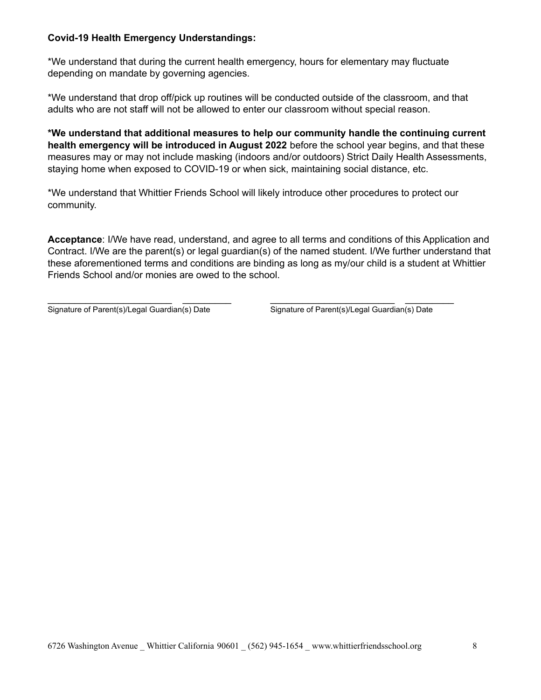#### **Covid-19 Health Emergency Understandings:**

\*We understand that during the current health emergency, hours for elementary may fluctuate depending on mandate by governing agencies.

\*We understand that drop off/pick up routines will be conducted outside of the classroom, and that adults who are not staff will not be allowed to enter our classroom without special reason.

**\*We understand that additional measures to help our community handle the continuing current health emergency will be introduced in August 2022** before the school year begins, and that these measures may or may not include masking (indoors and/or outdoors) Strict Daily Health Assessments, staying home when exposed to COVID-19 or when sick, maintaining social distance, etc.

\*We understand that Whittier Friends School will likely introduce other procedures to protect our community.

**Acceptance**: I/We have read, understand, and agree to all terms and conditions of this Application and Contract. I/We are the parent(s) or legal guardian(s) of the named student. I/We further understand that these aforementioned terms and conditions are binding as long as my/our child is a student at Whittier Friends School and/or monies are owed to the school.

\_\_\_\_\_\_\_\_\_\_\_\_\_\_\_\_\_\_\_\_\_\_\_ \_\_\_\_\_\_\_\_\_ \_\_\_\_\_\_\_\_\_\_\_\_\_\_\_\_\_\_\_\_\_\_\_ \_\_\_\_\_\_\_\_\_ Signature of Parent(s)/Legal Guardian(s) Date Signature of Parent(s)/Legal Guardian(s) Date